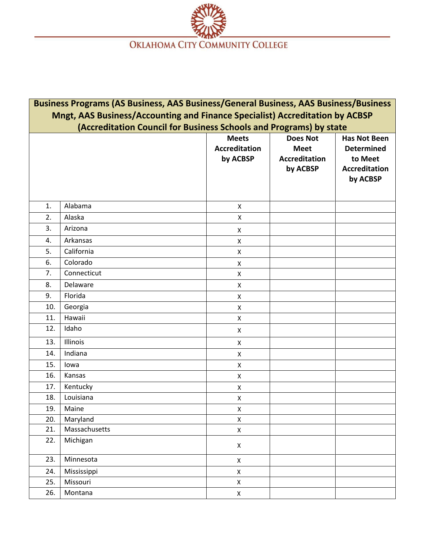

| Business Programs (AS Business, AAS Business/General Business, AAS Business/Business |               |                      |                      |                      |  |  |  |
|--------------------------------------------------------------------------------------|---------------|----------------------|----------------------|----------------------|--|--|--|
| Mngt, AAS Business/Accounting and Finance Specialist) Accreditation by ACBSP         |               |                      |                      |                      |  |  |  |
| (Accreditation Council for Business Schools and Programs) by state                   |               |                      |                      |                      |  |  |  |
|                                                                                      |               | <b>Meets</b>         | <b>Does Not</b>      | <b>Has Not Been</b>  |  |  |  |
|                                                                                      |               | <b>Accreditation</b> | <b>Meet</b>          | <b>Determined</b>    |  |  |  |
|                                                                                      |               | by ACBSP             | <b>Accreditation</b> | to Meet              |  |  |  |
|                                                                                      |               |                      | by ACBSP             | <b>Accreditation</b> |  |  |  |
|                                                                                      |               |                      |                      | by ACBSP             |  |  |  |
|                                                                                      |               |                      |                      |                      |  |  |  |
| 1.                                                                                   | Alabama       | $\pmb{\times}$       |                      |                      |  |  |  |
| 2.                                                                                   | Alaska        | X                    |                      |                      |  |  |  |
| 3.                                                                                   | Arizona       |                      |                      |                      |  |  |  |
| 4.                                                                                   | Arkansas      | X<br>X               |                      |                      |  |  |  |
| 5.                                                                                   | California    | X                    |                      |                      |  |  |  |
| 6.                                                                                   | Colorado      |                      |                      |                      |  |  |  |
| 7.                                                                                   | Connecticut   | X<br>X               |                      |                      |  |  |  |
| 8.                                                                                   | Delaware      |                      |                      |                      |  |  |  |
| 9.                                                                                   | Florida       | X                    |                      |                      |  |  |  |
| 10.                                                                                  |               | X                    |                      |                      |  |  |  |
|                                                                                      | Georgia       | X                    |                      |                      |  |  |  |
| 11.                                                                                  | Hawaii        | Χ                    |                      |                      |  |  |  |
| 12.                                                                                  | Idaho         | X                    |                      |                      |  |  |  |
| 13.                                                                                  | Illinois      | X                    |                      |                      |  |  |  |
| 14.                                                                                  | Indiana       | X                    |                      |                      |  |  |  |
| 15.                                                                                  | lowa          | X                    |                      |                      |  |  |  |
| 16.                                                                                  | Kansas        | X                    |                      |                      |  |  |  |
| 17.                                                                                  | Kentucky      | X                    |                      |                      |  |  |  |
| 18.                                                                                  | Louisiana     | X                    |                      |                      |  |  |  |
| 19.                                                                                  | Maine         | Χ                    |                      |                      |  |  |  |
| 20.                                                                                  | Maryland      | X                    |                      |                      |  |  |  |
| 21.                                                                                  | Massachusetts | Χ                    |                      |                      |  |  |  |
| 22.                                                                                  | Michigan      | $\pmb{\times}$       |                      |                      |  |  |  |
| 23.                                                                                  | Minnesota     | X                    |                      |                      |  |  |  |
| 24.                                                                                  | Mississippi   | $\mathsf X$          |                      |                      |  |  |  |
| 25.                                                                                  | Missouri      | $\mathsf X$          |                      |                      |  |  |  |
| 26.                                                                                  | Montana       | $\pmb{\mathsf{X}}$   |                      |                      |  |  |  |